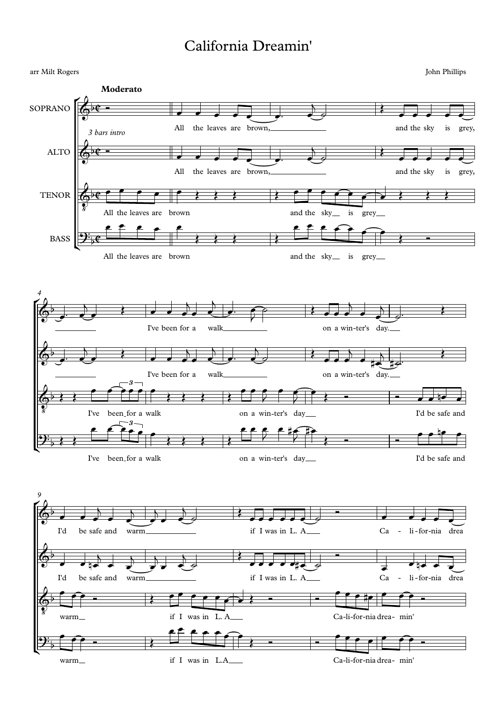## California Dreamin'

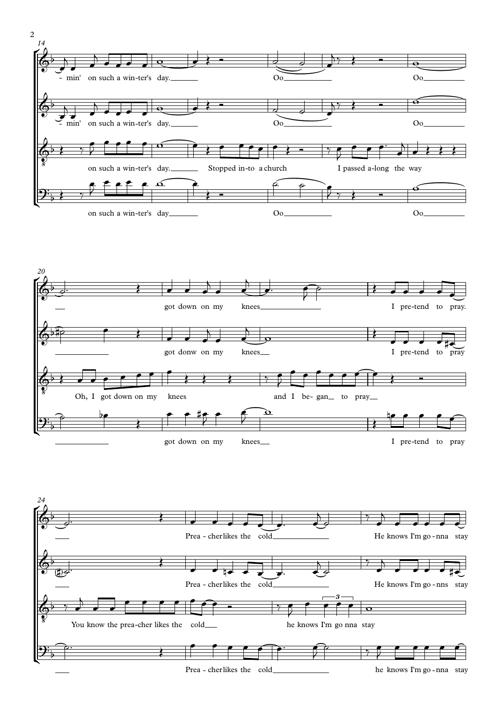



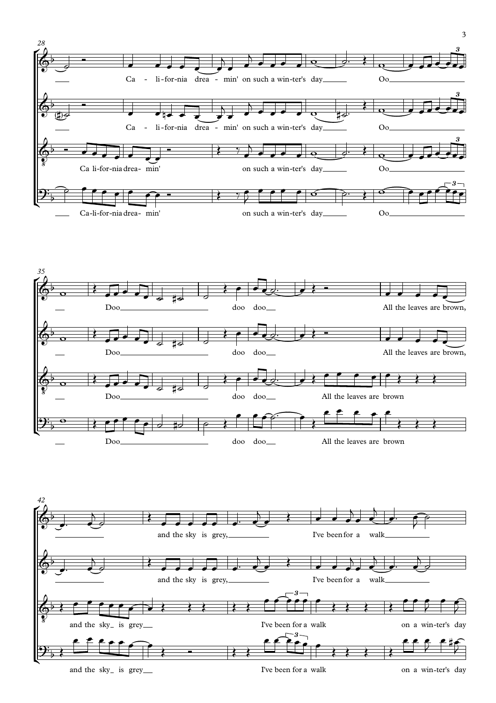





I've been for a walk